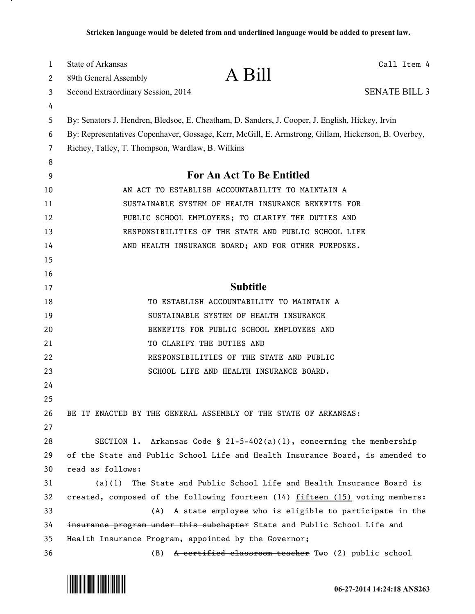| 1      | <b>State of Arkansas</b>                                                                            | A Bill                                                                        | Call Item 4          |  |
|--------|-----------------------------------------------------------------------------------------------------|-------------------------------------------------------------------------------|----------------------|--|
| 2      | 89th General Assembly                                                                               |                                                                               |                      |  |
| 3      | Second Extraordinary Session, 2014                                                                  |                                                                               | <b>SENATE BILL 3</b> |  |
| 4      |                                                                                                     |                                                                               |                      |  |
| 5      | By: Senators J. Hendren, Bledsoe, E. Cheatham, D. Sanders, J. Cooper, J. English, Hickey, Irvin     |                                                                               |                      |  |
| 6      | By: Representatives Copenhaver, Gossage, Kerr, McGill, E. Armstrong, Gillam, Hickerson, B. Overbey, |                                                                               |                      |  |
| 7      | Richey, Talley, T. Thompson, Wardlaw, B. Wilkins                                                    |                                                                               |                      |  |
| 8<br>9 | For An Act To Be Entitled                                                                           |                                                                               |                      |  |
| 10     | AN ACT TO ESTABLISH ACCOUNTABILITY TO MAINTAIN A                                                    |                                                                               |                      |  |
| 11     | SUSTAINABLE SYSTEM OF HEALTH INSURANCE BENEFITS FOR                                                 |                                                                               |                      |  |
| 12     | PUBLIC SCHOOL EMPLOYEES; TO CLARIFY THE DUTIES AND                                                  |                                                                               |                      |  |
| 13     | RESPONSIBILITIES OF THE STATE AND PUBLIC SCHOOL LIFE                                                |                                                                               |                      |  |
| 14     | AND HEALTH INSURANCE BOARD; AND FOR OTHER PURPOSES.                                                 |                                                                               |                      |  |
| 15     |                                                                                                     |                                                                               |                      |  |
| 16     |                                                                                                     |                                                                               |                      |  |
| 17     |                                                                                                     | <b>Subtitle</b>                                                               |                      |  |
| 18     |                                                                                                     | TO ESTABLISH ACCOUNTABILITY TO MAINTAIN A                                     |                      |  |
| 19     |                                                                                                     | SUSTAINABLE SYSTEM OF HEALTH INSURANCE                                        |                      |  |
| 20     |                                                                                                     | BENEFITS FOR PUBLIC SCHOOL EMPLOYEES AND                                      |                      |  |
| 21     |                                                                                                     | TO CLARIFY THE DUTIES AND                                                     |                      |  |
| 22     |                                                                                                     | RESPONSIBILITIES OF THE STATE AND PUBLIC                                      |                      |  |
| 23     |                                                                                                     | SCHOOL LIFE AND HEALTH INSURANCE BOARD.                                       |                      |  |
| 24     |                                                                                                     |                                                                               |                      |  |
| 25     |                                                                                                     |                                                                               |                      |  |
| 26     |                                                                                                     | BE IT ENACTED BY THE GENERAL ASSEMBLY OF THE STATE OF ARKANSAS:               |                      |  |
| 27     |                                                                                                     |                                                                               |                      |  |
| 28     |                                                                                                     | SECTION 1. Arkansas Code § $21-5-402(a)(1)$ , concerning the membership       |                      |  |
| 29     | of the State and Public School Life and Health Insurance Board, is amended to                       |                                                                               |                      |  |
| 30     | read as follows:                                                                                    |                                                                               |                      |  |
| 31     | (a)(1)                                                                                              | The State and Public School Life and Health Insurance Board is                |                      |  |
| 32     |                                                                                                     | created, composed of the following fourteen (14) fifteen (15) voting members: |                      |  |
| 33     | (A)                                                                                                 | A state employee who is eligible to participate in the                        |                      |  |
| 34     | insurance program under this subchapter State and Public School Life and                            |                                                                               |                      |  |
| 35     |                                                                                                     | Health Insurance Program, appointed by the Governor;                          |                      |  |
| 36     |                                                                                                     | (B) A certified classroom teacher Two (2) public school                       |                      |  |



.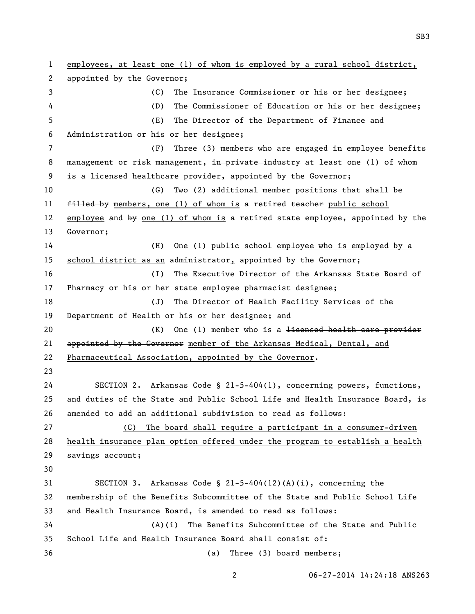employees, at least one (1) of whom is employed by a rural school district, appointed by the Governor; (C) The Insurance Commissioner or his or her designee; (D) The Commissioner of Education or his or her designee; (E) The Director of the Department of Finance and Administration or his or her designee; (F) Three (3) members who are engaged in employee benefits 8 management or risk management, in private industry at least one (1) of whom is a licensed healthcare provider, appointed by the Governor; (G) Two (2) additional member positions that shall be 11 filled by members, one (1) of whom is a retired teacher public school employee and by one (1) of whom is a retired state employee, appointed by the Governor; (H) One (1) public school employee who is employed by a school district as an administrator, appointed by the Governor; (I) The Executive Director of the Arkansas State Board of Pharmacy or his or her state employee pharmacist designee; (J) The Director of Health Facility Services of the Department of Health or his or her designee; and (K) One (1) member who is a licensed health care provider 21 appointed by the Governor member of the Arkansas Medical, Dental, and Pharmaceutical Association, appointed by the Governor. SECTION 2. Arkansas Code § 21-5-404(1), concerning powers, functions, and duties of the State and Public School Life and Health Insurance Board, is amended to add an additional subdivision to read as follows: (C) The board shall require a participant in a consumer-driven health insurance plan option offered under the program to establish a health 29 savings account; SECTION 3. Arkansas Code § 21-5-404(12)(A)(i), concerning the membership of the Benefits Subcommittee of the State and Public School Life and Health Insurance Board, is amended to read as follows: (A)(i) The Benefits Subcommittee of the State and Public School Life and Health Insurance Board shall consist of: (a) Three (3) board members;

06-27-2014 14:24:18 ANS263

SB3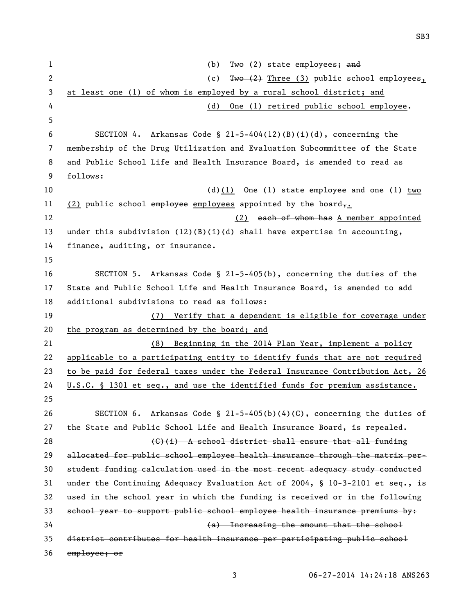1 (b) Two (2) state employees; and 2 (c) Two (2) Three (3) public school employees, at least one (1) of whom is employed by a rural school district; and (d) One (1) retired public school employee. 6 SECTION 4. Arkansas Code §  $2l-5-404(12)(B)(i)(d)$ , concerning the membership of the Drug Utilization and Evaluation Subcommittee of the State and Public School Life and Health Insurance Board, is amended to read as follows:  $(d)(1)$  One (1) state employee and one  $\left(1\right)$  two 11 (2) public school employee employees appointed by the board,. 12 (2) each of whom has A member appointed under this subdivision (12)(B)(i)(d) shall have expertise in accounting, finance, auditing, or insurance. SECTION 5. Arkansas Code § 21-5-405(b), concerning the duties of the State and Public School Life and Health Insurance Board, is amended to add additional subdivisions to read as follows: (7) Verify that a dependent is eligible for coverage under 20 the program as determined by the board; and (8) Beginning in the 2014 Plan Year, implement a policy applicable to a participating entity to identify funds that are not required to be paid for federal taxes under the Federal Insurance Contribution Act, 26 U.S.C. § 1301 et seq., and use the identified funds for premium assistance. SECTION 6. Arkansas Code § 21-5-405(b)(4)(C), concerning the duties of the State and Public School Life and Health Insurance Board, is repealed. 28 (G)(i) A school district shall ensure that all funding allocated for public school employee health insurance through the matrix per- student funding calculation used in the most recent adequacy study conducted under the Continuing Adequacy Evaluation Act of 2004, § 10-3-2101 et seq., is used in the school year in which the funding is received or in the following school year to support public school employee health insurance premiums by: (a) Increasing the amount that the school district contributes for health insurance per participating public school employee; or

SB3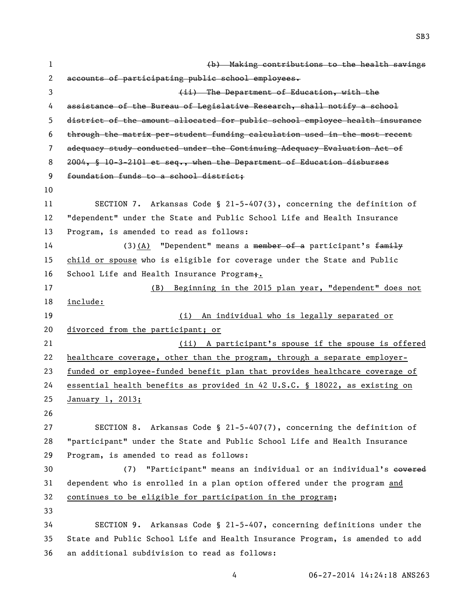| $\mathbf{1}$   | (b) Making contributions to the health savings                               |  |  |
|----------------|------------------------------------------------------------------------------|--|--|
| 2              | accounts of participating public school employees.                           |  |  |
| 3              | (ii) The Department of Education, with the                                   |  |  |
| 4              | assistance of the Bureau of Legislative Research, shall notify a school      |  |  |
| 5              | district of the amount allocated for public school employee health insurance |  |  |
| 6              | through the matrix per-student funding calculation used in the most recent   |  |  |
| $\overline{7}$ | adequacy study conducted under the Continuing Adequacy Evaluation Act of     |  |  |
| 8              | $2004$ , § 10-3-2101 et seq., when the Department of Education disburses     |  |  |
| 9              | foundation funds to a school district:                                       |  |  |
| 10             |                                                                              |  |  |
| 11             | SECTION 7. Arkansas Code § 21-5-407(3), concerning the definition of         |  |  |
| 12             | "dependent" under the State and Public School Life and Health Insurance      |  |  |
| 13             | Program, is amended to read as follows:                                      |  |  |
| 14             | $(3)$ (A) "Dependent" means a member of a participant's family               |  |  |
| 15             | child or spouse who is eligible for coverage under the State and Public      |  |  |
| 16             | School Life and Health Insurance Program+.                                   |  |  |
| 17             | (B) Beginning in the 2015 plan year, "dependent" does not                    |  |  |
| 18             | include:                                                                     |  |  |
| 19             | An individual who is legally separated or<br>(i)                             |  |  |
| 20             | divorced from the participant; or                                            |  |  |
| 21             | (ii) A participant's spouse if the spouse is offered                         |  |  |
| 22             | healthcare coverage, other than the program, through a separate employer-    |  |  |
| 23             | funded or employee-funded benefit plan that provides healthcare coverage of  |  |  |
| 24             | essential health benefits as provided in 42 U.S.C. § 18022, as existing on   |  |  |
| 25             | January 1, 2013;                                                             |  |  |
| 26             |                                                                              |  |  |
| 27             | SECTION 8. Arkansas Code § 21-5-407(7), concerning the definition of         |  |  |
| 28             | "participant" under the State and Public School Life and Health Insurance    |  |  |
| 29             | Program, is amended to read as follows:                                      |  |  |
| 30             | "Participant" means an individual or an individual's covered<br>(7)          |  |  |
| 31             | dependent who is enrolled in a plan option offered under the program and     |  |  |
| 32             | continues to be eligible for participation in the program;                   |  |  |
| 33             |                                                                              |  |  |
| 34             | SECTION 9. Arkansas Code § 21-5-407, concerning definitions under the        |  |  |
| 35             | State and Public School Life and Health Insurance Program, is amended to add |  |  |
| 36             | an additional subdivision to read as follows:                                |  |  |

06-27-2014 14:24:18 ANS263

SB3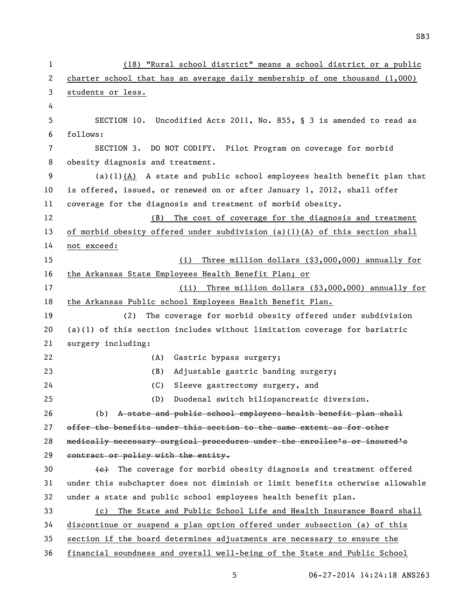(18) "Rural school district" means a school district or a public charter school that has an average daily membership of one thousand (1,000) students or less. SECTION 10. Uncodified Acts 2011, No. 855, § 3 is amended to read as follows: SECTION 3. DO NOT CODIFY. Pilot Program on coverage for morbid obesity diagnosis and treatment. (a)(1)(A) A state and public school employees health benefit plan that is offered, issued, or renewed on or after January 1, 2012, shall offer coverage for the diagnosis and treatment of morbid obesity. (B) The cost of coverage for the diagnosis and treatment of morbid obesity offered under subdivision (a)(1)(A) of this section shall not exceed: (i) Three million dollars (\$3,000,000) annually for the Arkansas State Employees Health Benefit Plan; or 17 (ii) Three million dollars (\$3,000,000) annually for the Arkansas Public school Employees Health Benefit Plan. (2) The coverage for morbid obesity offered under subdivision (a)(1) of this section includes without limitation coverage for bariatric surgery including: (A) Gastric bypass surgery; (B) Adjustable gastric banding surgery; (C) Sleeve gastrectomy surgery, and (D) Duodenal switch biliopancreatic diversion. (b) A state and public school employees health benefit plan shall 27 offer the benefits under this section to the same extent as for other medically necessary surgical procedures under the enrollee's or insured's 29 contract or policy with the entity.  $\left\{\epsilon\right\}$  The coverage for morbid obesity diagnosis and treatment offered under this subchapter does not diminish or limit benefits otherwise allowable under a state and public school employees health benefit plan. (c) The State and Public School Life and Health Insurance Board shall discontinue or suspend a plan option offered under subsection (a) of this section if the board determines adjustments are necessary to ensure the financial soundness and overall well-being of the State and Public School

SB3

06-27-2014 14:24:18 ANS263